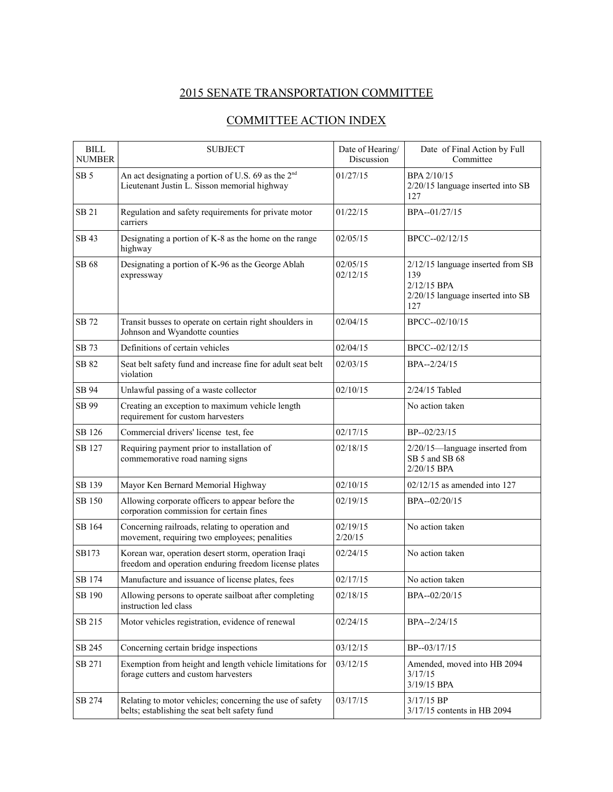## 2015 SENATE TRANSPORTATION COMMITTEE

## COMMITTEE ACTION INDEX

| <b>BILL</b><br><b>NUMBER</b> | <b>SUBJECT</b>                                                                                                 | Date of Hearing/<br>Discussion | Date of Final Action by Full<br>Committee                                                           |
|------------------------------|----------------------------------------------------------------------------------------------------------------|--------------------------------|-----------------------------------------------------------------------------------------------------|
| SB <sub>5</sub>              | An act designating a portion of U.S. 69 as the 2 <sup>nd</sup><br>Lieutenant Justin L. Sisson memorial highway | 01/27/15                       | BPA 2/10/15<br>2/20/15 language inserted into SB<br>127                                             |
| SB 21                        | Regulation and safety requirements for private motor<br>carriers                                               | 01/22/15                       | BPA--01/27/15                                                                                       |
| SB 43                        | Designating a portion of K-8 as the home on the range<br>highway                                               | 02/05/15                       | BPCC--02/12/15                                                                                      |
| SB 68                        | Designating a portion of K-96 as the George Ablah<br>expressway                                                | 02/05/15<br>02/12/15           | 2/12/15 language inserted from SB<br>139<br>2/12/15 BPA<br>2/20/15 language inserted into SB<br>127 |
| SB 72                        | Transit busses to operate on certain right shoulders in<br>Johnson and Wyandotte counties                      | 02/04/15                       | BPCC--02/10/15                                                                                      |
| SB 73                        | Definitions of certain vehicles                                                                                | 02/04/15                       | BPCC--02/12/15                                                                                      |
| SB 82                        | Seat belt safety fund and increase fine for adult seat belt<br>violation                                       | 02/03/15                       | BPA--2/24/15                                                                                        |
| SB 94                        | Unlawful passing of a waste collector                                                                          | 02/10/15                       | $2/24/15$ Tabled                                                                                    |
| SB 99                        | Creating an exception to maximum vehicle length<br>requirement for custom harvesters                           |                                | No action taken                                                                                     |
| SB 126                       | Commercial drivers' license test, fee                                                                          | 02/17/15                       | BP--02/23/15                                                                                        |
| SB 127                       | Requiring payment prior to installation of<br>commemorative road naming signs                                  | 02/18/15                       | 2/20/15—language inserted from<br>SB 5 and SB 68<br>2/20/15 BPA                                     |
| SB 139                       | Mayor Ken Bernard Memorial Highway                                                                             | 02/10/15                       | $02/12/15$ as amended into 127                                                                      |
| <b>SB 150</b>                | Allowing corporate officers to appear before the<br>corporation commission for certain fines                   | 02/19/15                       | BPA--02/20/15                                                                                       |
| SB 164                       | Concerning railroads, relating to operation and<br>movement, requiring two employees; penalities               | 02/19/15<br>2/20/15            | No action taken                                                                                     |
| SB173                        | Korean war, operation desert storm, operation Iraqi<br>freedom and operation enduring freedom license plates   | 02/24/15                       | No action taken                                                                                     |
| SB 174                       | Manufacture and issuance of license plates, fees                                                               | 02/17/15                       | No action taken                                                                                     |
| SB 190                       | Allowing persons to operate sailboat after completing<br>instruction led class                                 | 02/18/15                       | BPA--02/20/15                                                                                       |
| SB 215                       | Motor vehicles registration, evidence of renewal                                                               | 02/24/15                       | BPA--2/24/15                                                                                        |
| SB 245                       | Concerning certain bridge inspections                                                                          | 03/12/15                       | BP--03/17/15                                                                                        |
| SB 271                       | Exemption from height and length vehicle limitations for<br>forage cutters and custom harvesters               | 03/12/15                       | Amended, moved into HB 2094<br>3/17/15<br>3/19/15 BPA                                               |
| SB 274                       | Relating to motor vehicles; concerning the use of safety<br>belts; establishing the seat belt safety fund      | 03/17/15                       | $3/17/15$ BP<br>3/17/15 contents in HB 2094                                                         |